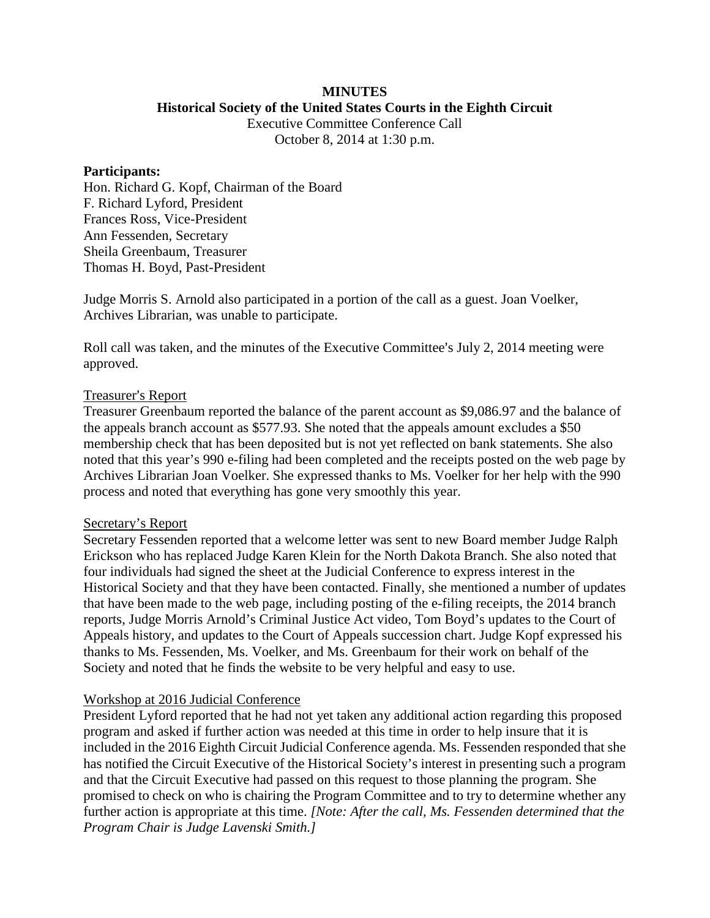# **MINUTES**

**Historical Society of the United States Courts in the Eighth Circuit**

Executive Committee Conference Call October 8, 2014 at 1:30 p.m.

#### **Participants:**

Hon. Richard G. Kopf, Chairman of the Board F. Richard Lyford, President Frances Ross, Vice-President Ann Fessenden, Secretary Sheila Greenbaum, Treasurer Thomas H. Boyd, Past-President

Judge Morris S. Arnold also participated in a portion of the call as a guest. Joan Voelker, Archives Librarian, was unable to participate.

Roll call was taken, and the minutes of the Executive Committee's July 2, 2014 meeting were approved.

### Treasurer's Report

Treasurer Greenbaum reported the balance of the parent account as \$9,086.97 and the balance of the appeals branch account as \$577.93. She noted that the appeals amount excludes a \$50 membership check that has been deposited but is not yet reflected on bank statements. She also noted that this year's 990 e-filing had been completed and the receipts posted on the web page by Archives Librarian Joan Voelker. She expressed thanks to Ms. Voelker for her help with the 990 process and noted that everything has gone very smoothly this year.

#### Secretary's Report

Secretary Fessenden reported that a welcome letter was sent to new Board member Judge Ralph Erickson who has replaced Judge Karen Klein for the North Dakota Branch. She also noted that four individuals had signed the sheet at the Judicial Conference to express interest in the Historical Society and that they have been contacted. Finally, she mentioned a number of updates that have been made to the web page, including posting of the e-filing receipts, the 2014 branch reports, Judge Morris Arnold's Criminal Justice Act video, Tom Boyd's updates to the Court of Appeals history, and updates to the Court of Appeals succession chart. Judge Kopf expressed his thanks to Ms. Fessenden, Ms. Voelker, and Ms. Greenbaum for their work on behalf of the Society and noted that he finds the website to be very helpful and easy to use.

### Workshop at 2016 Judicial Conference

President Lyford reported that he had not yet taken any additional action regarding this proposed program and asked if further action was needed at this time in order to help insure that it is included in the 2016 Eighth Circuit Judicial Conference agenda. Ms. Fessenden responded that she has notified the Circuit Executive of the Historical Society's interest in presenting such a program and that the Circuit Executive had passed on this request to those planning the program. She promised to check on who is chairing the Program Committee and to try to determine whether any further action is appropriate at this time. *[Note: After the call, Ms. Fessenden determined that the Program Chair is Judge Lavenski Smith.]*